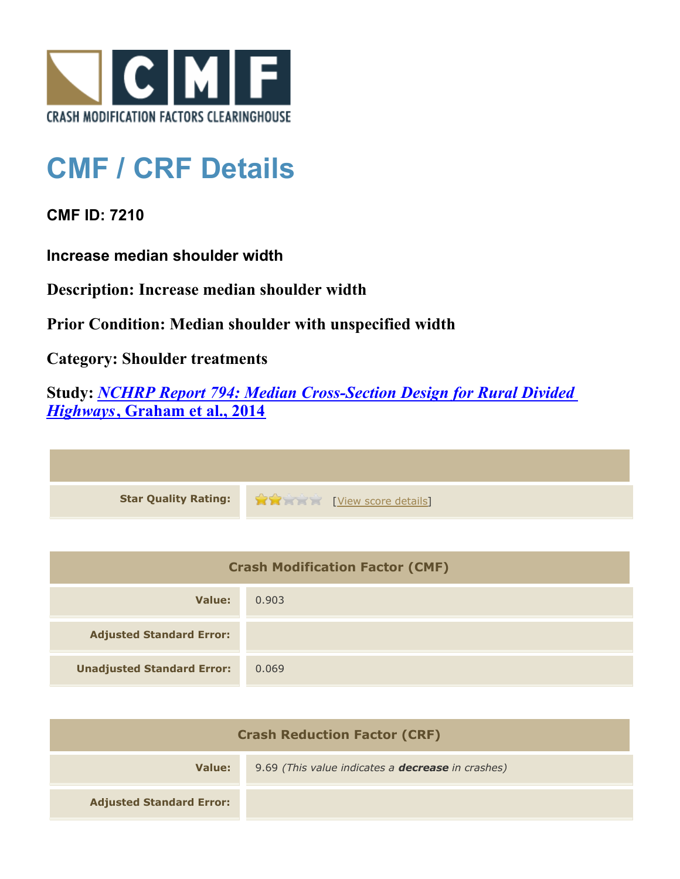

## **CMF / CRF Details**

**CMF ID: 7210**

**Increase median shoulder width**

**Description: Increase median shoulder width**

**Prior Condition: Median shoulder with unspecified width**

**Category: Shoulder treatments**

**Study:** *[NCHRP Report 794: Median Cross-Section Design for Rural Divided](http://www.cmfclearinghouse.org/study_detail.cfm?stid=420) [Highways](http://www.cmfclearinghouse.org/study_detail.cfm?stid=420)***[, Graham et al., 2014](http://www.cmfclearinghouse.org/study_detail.cfm?stid=420)**

| Star Quality Rating: 1999 [View score details] |
|------------------------------------------------|

| <b>Crash Modification Factor (CMF)</b> |       |
|----------------------------------------|-------|
| Value:                                 | 0.903 |
| <b>Adjusted Standard Error:</b>        |       |
| <b>Unadjusted Standard Error:</b>      | 0.069 |

| <b>Crash Reduction Factor (CRF)</b> |                                                          |
|-------------------------------------|----------------------------------------------------------|
| Value:                              | 9.69 (This value indicates a <b>decrease</b> in crashes) |
| <b>Adjusted Standard Error:</b>     |                                                          |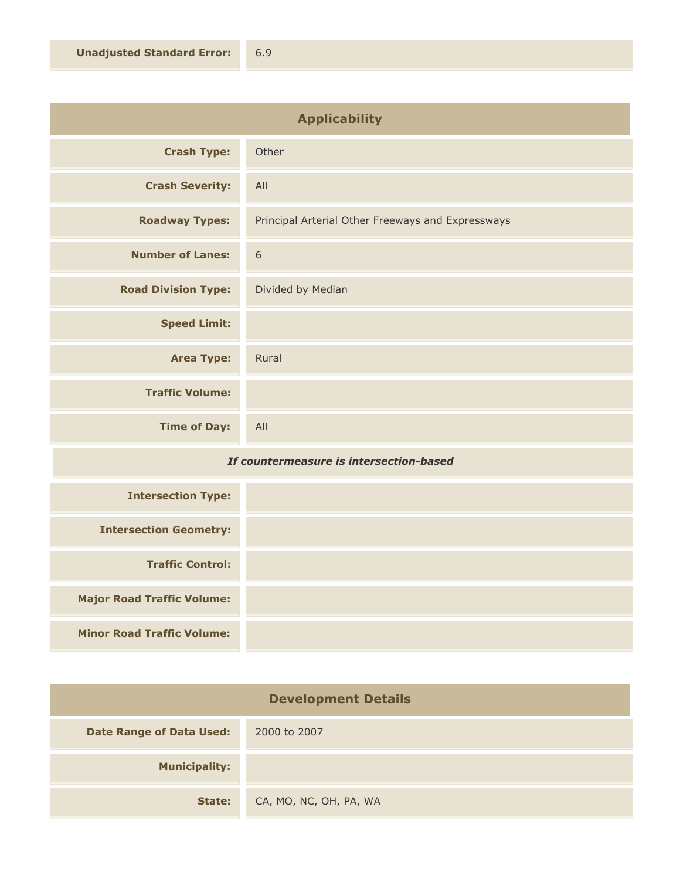| <b>Applicability</b>       |                                                   |
|----------------------------|---------------------------------------------------|
| <b>Crash Type:</b>         | Other                                             |
| <b>Crash Severity:</b>     | All                                               |
| <b>Roadway Types:</b>      | Principal Arterial Other Freeways and Expressways |
| <b>Number of Lanes:</b>    | 6                                                 |
| <b>Road Division Type:</b> | Divided by Median                                 |
| <b>Speed Limit:</b>        |                                                   |
| <b>Area Type:</b>          | Rural                                             |
| <b>Traffic Volume:</b>     |                                                   |
| <b>Time of Day:</b>        | All                                               |

## *If countermeasure is intersection-based*

| <b>Intersection Type:</b>         |  |
|-----------------------------------|--|
| <b>Intersection Geometry:</b>     |  |
| <b>Traffic Control:</b>           |  |
| <b>Major Road Traffic Volume:</b> |  |
| <b>Minor Road Traffic Volume:</b> |  |

| <b>Development Details</b>      |                        |
|---------------------------------|------------------------|
| <b>Date Range of Data Used:</b> | 2000 to 2007           |
| <b>Municipality:</b>            |                        |
| State:                          | CA, MO, NC, OH, PA, WA |